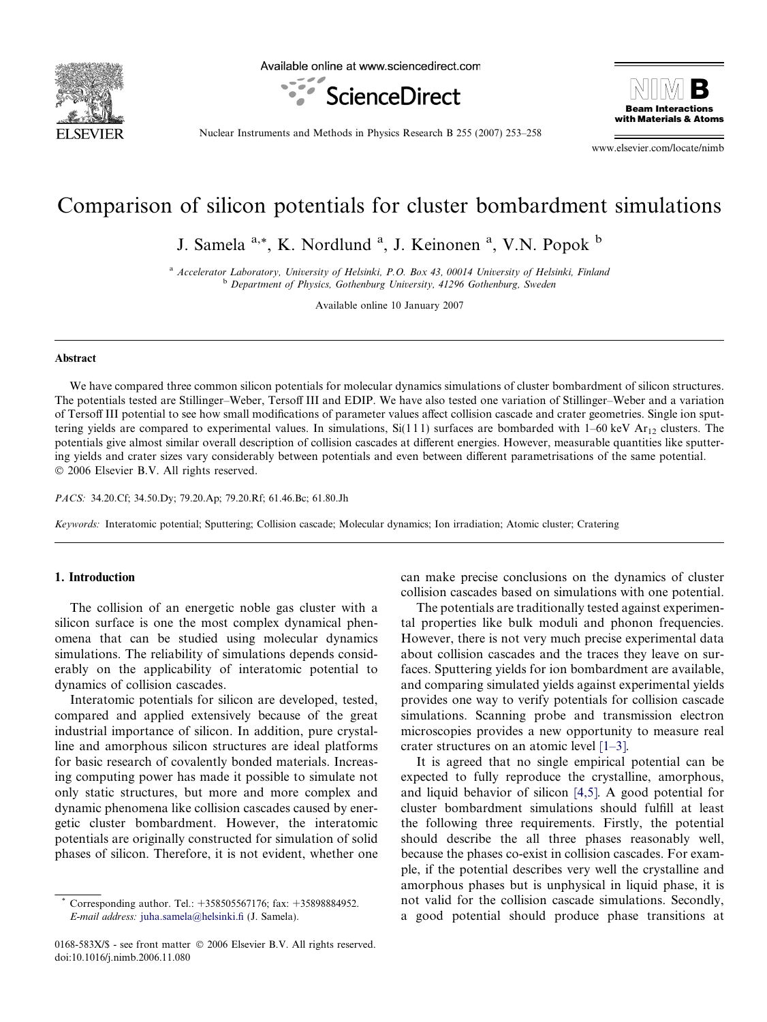

Available online at www.sciencedirect.com





Nuclear Instruments and Methods in Physics Research B 255 (2007) 253–258

www.elsevier.com/locate/nimb

# Comparison of silicon potentials for cluster bombardment simulations

J. Samela <sup>a,\*</sup>, K. Nordlund <sup>a</sup>, J. Keinonen <sup>a</sup>, V.N. Popok <sup>b</sup>

<sup>a</sup> Accelerator Laboratory, University of Helsinki, P.O. Box 43, 00014 University of Helsinki, Finland <sup>b</sup> Department of Physics, Gothenburg University, 41296 Gothenburg, Sweden

Available online 10 January 2007

#### Abstract

We have compared three common silicon potentials for molecular dynamics simulations of cluster bombardment of silicon structures. The potentials tested are Stillinger–Weber, Tersoff III and EDIP. We have also tested one variation of Stillinger–Weber and a variation of Tersoff III potential to see how small modifications of parameter values affect collision cascade and crater geometries. Single ion sputtering yields are compared to experimental values. In simulations,  $Si(111)$  surfaces are bombarded with 1–60 keV Ar<sub>12</sub> clusters. The potentials give almost similar overall description of collision cascades at different energies. However, measurable quantities like sputtering yields and crater sizes vary considerably between potentials and even between different parametrisations of the same potential. © 2006 Elsevier B.V. All rights reserved.

PACS: 34.20.Cf; 34.50.Dy; 79.20.Ap; 79.20.Rf; 61.46.Bc; 61.80.Jh

Keywords: Interatomic potential; Sputtering; Collision cascade; Molecular dynamics; Ion irradiation; Atomic cluster; Cratering

## 1. Introduction

The collision of an energetic noble gas cluster with a silicon surface is one the most complex dynamical phenomena that can be studied using molecular dynamics simulations. The reliability of simulations depends considerably on the applicability of interatomic potential to dynamics of collision cascades.

Interatomic potentials for silicon are developed, tested, compared and applied extensively because of the great industrial importance of silicon. In addition, pure crystalline and amorphous silicon structures are ideal platforms for basic research of covalently bonded materials. Increasing computing power has made it possible to simulate not only static structures, but more and more complex and dynamic phenomena like collision cascades caused by energetic cluster bombardment. However, the interatomic potentials are originally constructed for simulation of solid phases of silicon. Therefore, it is not evident, whether one can make precise conclusions on the dynamics of cluster collision cascades based on simulations with one potential.

The potentials are traditionally tested against experimental properties like bulk moduli and phonon frequencies. However, there is not very much precise experimental data about collision cascades and the traces they leave on surfaces. Sputtering yields for ion bombardment are available, and comparing simulated yields against experimental yields provides one way to verify potentials for collision cascade simulations. Scanning probe and transmission electron microscopies provides a new opportunity to measure real crater structures on an atomic level [\[1–3\]](#page-4-0).

It is agreed that no single empirical potential can be expected to fully reproduce the crystalline, amorphous, and liquid behavior of silicon [\[4,5\].](#page-4-0) A good potential for cluster bombardment simulations should fulfill at least the following three requirements. Firstly, the potential should describe the all three phases reasonably well, because the phases co-exist in collision cascades. For example, if the potential describes very well the crystalline and amorphous phases but is unphysical in liquid phase, it is not valid for the collision cascade simulations. Secondly, a good potential should produce phase transitions at

Corresponding author. Tel.: +358505567176; fax: +35898884952. E-mail address: [juha.samela@helsinki.fi](mailto:juha.samela@helsinki.fi) (J. Samela).

<sup>0168-583</sup>X/\$ - see front matter © 2006 Elsevier B.V. All rights reserved. doi:10.1016/j.nimb.2006.11.080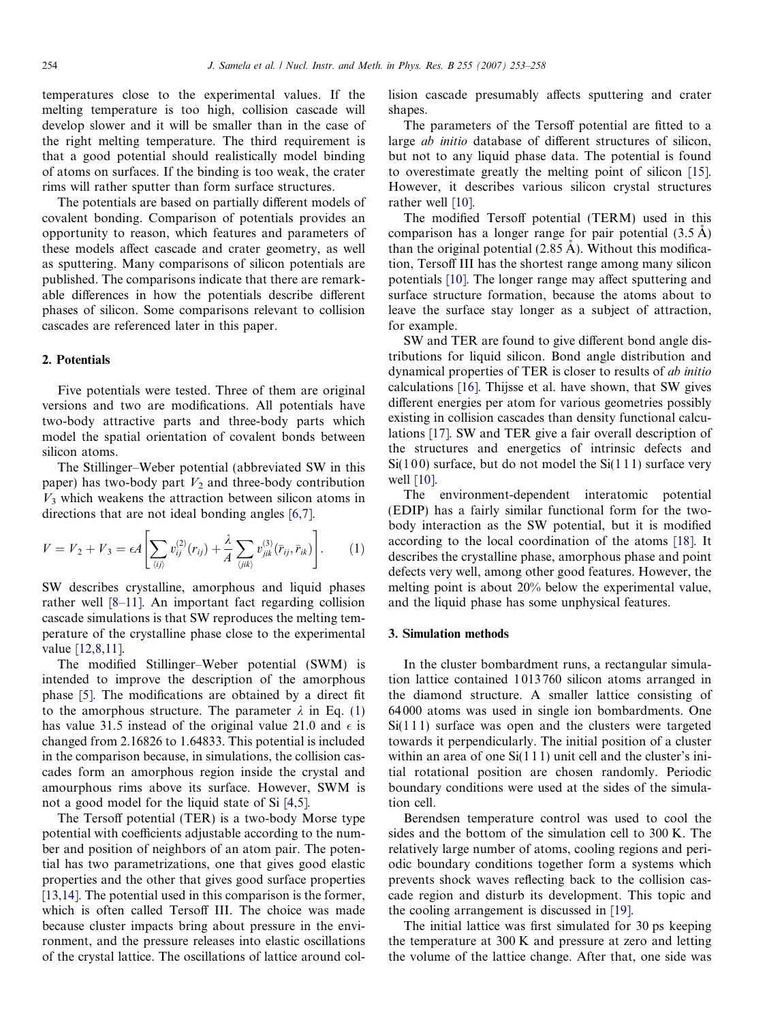temperatures close to the experimental values. If the melting temperature is too high, collision cascade will develop slower and it will be smaller than in the case of the right melting temperature. The third requirement is that a good potential should realistically model binding of atoms on surfaces. If the binding is too weak, the crater rims will rather sputter than form surface structures.

The potentials are based on partially different models of covalent bonding. Comparison of potentials provides an opportunity to reason, which features and parameters of these models affect cascade and crater geometry, as well as sputtering. Many comparisons of silicon potentials are published. The comparisons indicate that there are remarkable differences in how the potentials describe different phases of silicon. Some comparisons relevant to collision cascades are referenced later in this paper.

### 2. Potentials

Five potentials were tested. Three of them are original versions and two are modifications. All potentials have two-body attractive parts and three-body parts which model the spatial orientation of covalent bonds between silicon atoms.

The Stillinger–Weber potential (abbreviated SW in this paper) has two-body part  $V_2$  and three-body contribution  $V<sub>3</sub>$  which weakens the attraction between silicon atoms in directions that are not ideal bonding angles [\[6,7\]](#page-4-0).

$$
V = V_2 + V_3 = \epsilon A \left[ \sum_{\langle ij \rangle} v_{ij}^{(2)}(r_{ij}) + \frac{\lambda}{A} \sum_{\langle jik \rangle} v_{jik}^{(3)}(\bar{r}_{ij}, \bar{r}_{ik}) \right]. \tag{1}
$$

SW describes crystalline, amorphous and liquid phases rather well [\[8–11\].](#page-4-0) An important fact regarding collision cascade simulations is that SW reproduces the melting temperature of the crystalline phase close to the experimental value [\[12,8,11\]](#page-5-0).

The modified Stillinger–Weber potential (SWM) is intended to improve the description of the amorphous phase [\[5\].](#page-4-0) The modifications are obtained by a direct fit to the amorphous structure. The parameter  $\lambda$  in Eq. (1) has value 31.5 instead of the original value 21.0 and  $\epsilon$  is changed from 2.16826 to 1.64833. This potential is included in the comparison because, in simulations, the collision cascades form an amorphous region inside the crystal and amourphous rims above its surface. However, SWM is not a good model for the liquid state of Si [\[4,5\].](#page-4-0)

The Tersoff potential (TER) is a two-body Morse type potential with coefficients adjustable according to the number and position of neighbors of an atom pair. The potential has two parametrizations, one that gives good elastic properties and the other that gives good surface properties [\[13,14\].](#page-5-0) The potential used in this comparison is the former, which is often called Tersoff III. The choice was made because cluster impacts bring about pressure in the environment, and the pressure releases into elastic oscillations of the crystal lattice. The oscillations of lattice around collision cascade presumably affects sputtering and crater shapes.

The parameters of the Tersoff potential are fitted to a large ab initio database of different structures of silicon, but not to any liquid phase data. The potential is found to overestimate greatly the melting point of silicon [\[15\]](#page-5-0). However, it describes various silicon crystal structures rather well [\[10\].](#page-4-0)

The modified Tersoff potential (TERM) used in this comparison has a longer range for pair potential  $(3.5 \text{ Å})$ than the original potential  $(2.85 \text{ Å})$ . Without this modification, Tersoff III has the shortest range among many silicon potentials [\[10\].](#page-4-0) The longer range may affect sputtering and surface structure formation, because the atoms about to leave the surface stay longer as a subject of attraction, for example.

SW and TER are found to give different bond angle distributions for liquid silicon. Bond angle distribution and dynamical properties of TER is closer to results of ab initio calculations [\[16\]](#page-5-0). Thijsse et al. have shown, that SW gives different energies per atom for various geometries possibly existing in collision cascades than density functional calculations [\[17\].](#page-5-0) SW and TER give a fair overall description of the structures and energetics of intrinsic defects and  $Si(100)$  surface, but do not model the  $Si(111)$  surface very well [\[10\]](#page-4-0).

The environment-dependent interatomic potential (EDIP) has a fairly similar functional form for the twobody interaction as the SW potential, but it is modified according to the local coordination of the atoms [\[18\].](#page-5-0) It describes the crystalline phase, amorphous phase and point defects very well, among other good features. However, the melting point is about 20% below the experimental value, and the liquid phase has some unphysical features.

### 3. Simulation methods

In the cluster bombardment runs, a rectangular simulation lattice contained 1 013 760 silicon atoms arranged in the diamond structure. A smaller lattice consisting of 64 000 atoms was used in single ion bombardments. One  $Si(111)$  surface was open and the clusters were targeted towards it perpendicularly. The initial position of a cluster within an area of one  $Si(111)$  unit cell and the cluster's initial rotational position are chosen randomly. Periodic boundary conditions were used at the sides of the simulation cell.

Berendsen temperature control was used to cool the sides and the bottom of the simulation cell to 300 K. The relatively large number of atoms, cooling regions and periodic boundary conditions together form a systems which prevents shock waves reflecting back to the collision cascade region and disturb its development. This topic and the cooling arrangement is discussed in [\[19\].](#page-5-0)

The initial lattice was first simulated for 30 ps keeping the temperature at 300 K and pressure at zero and letting the volume of the lattice change. After that, one side was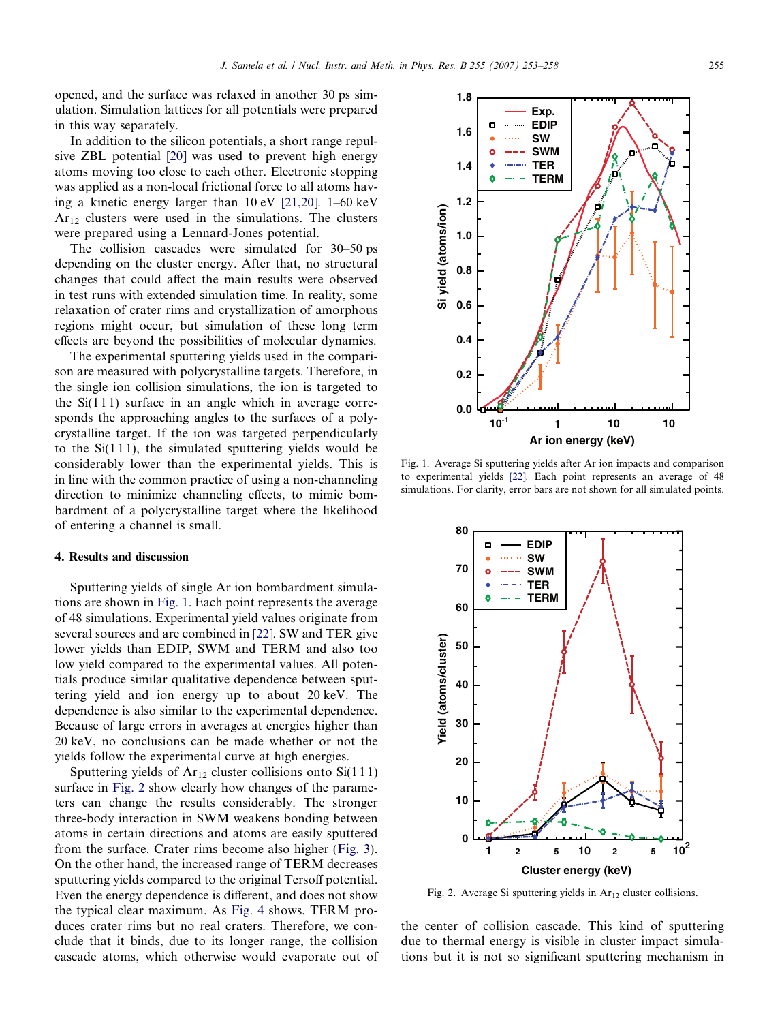J. Samela et al. / Nucl. Instr. and Meth. in Phys. Res. B 255 (2007) 253–258 255

<span id="page-2-0"></span>opened, and the surface was relaxed in another 30 ps simulation. Simulation lattices for all potentials were prepared in this way separately.

In addition to the silicon potentials, a short range repulsive ZBL potential [\[20\]](#page-5-0) was used to prevent high energy atoms moving too close to each other. Electronic stopping was applied as a non-local frictional force to all atoms having a kinetic energy larger than 10 eV [\[21,20\].](#page-5-0) 1–60 keV  $Ar_{12}$  clusters were used in the simulations. The clusters were prepared using a Lennard-Jones potential.

The collision cascades were simulated for 30–50 ps depending on the cluster energy. After that, no structural changes that could affect the main results were observed in test runs with extended simulation time. In reality, some relaxation of crater rims and crystallization of amorphous regions might occur, but simulation of these long term effects are beyond the possibilities of molecular dynamics.

The experimental sputtering yields used in the comparison are measured with polycrystalline targets. Therefore, in the single ion collision simulations, the ion is targeted to the  $Si(111)$  surface in an angle which in average corresponds the approaching angles to the surfaces of a polycrystalline target. If the ion was targeted perpendicularly to the  $Si(111)$ , the simulated sputtering yields would be considerably lower than the experimental yields. This is in line with the common practice of using a non-channeling direction to minimize channeling effects, to mimic bombardment of a polycrystalline target where the likelihood of entering a channel is small.

## 4. Results and discussion

Sputtering yields of single Ar ion bombardment simulations are shown in Fig. 1. Each point represents the average of 48 simulations. Experimental yield values originate from several sources and are combined in [\[22\].](#page-5-0) SW and TER give lower yields than EDIP, SWM and TERM and also too low yield compared to the experimental values. All potentials produce similar qualitative dependence between sputtering yield and ion energy up to about 20 keV. The dependence is also similar to the experimental dependence. Because of large errors in averages at energies higher than 20 keV, no conclusions can be made whether or not the yields follow the experimental curve at high energies.

Sputtering yields of  $Ar_{12}$  cluster collisions onto Si(111) surface in Fig. 2 show clearly how changes of the parameters can change the results considerably. The stronger three-body interaction in SWM weakens bonding between atoms in certain directions and atoms are easily sputtered from the surface. Crater rims become also higher [\(Fig. 3\)](#page-3-0). On the other hand, the increased range of TERM decreases sputtering yields compared to the original Tersoff potential. Even the energy dependence is different, and does not show the typical clear maximum. As [Fig. 4](#page-3-0) shows, TERM produces crater rims but no real craters. Therefore, we conclude that it binds, due to its longer range, the collision cascade atoms, which otherwise would evaporate out of



Fig. 1. Average Si sputtering yields after Ar ion impacts and comparison to experimental yields [\[22\]](#page-5-0). Each point represents an average of 48 simulations. For clarity, error bars are not shown for all simulated points.



Fig. 2. Average Si sputtering yields in  $Ar_{12}$  cluster collisions.

the center of collision cascade. This kind of sputtering due to thermal energy is visible in cluster impact simulations but it is not so significant sputtering mechanism in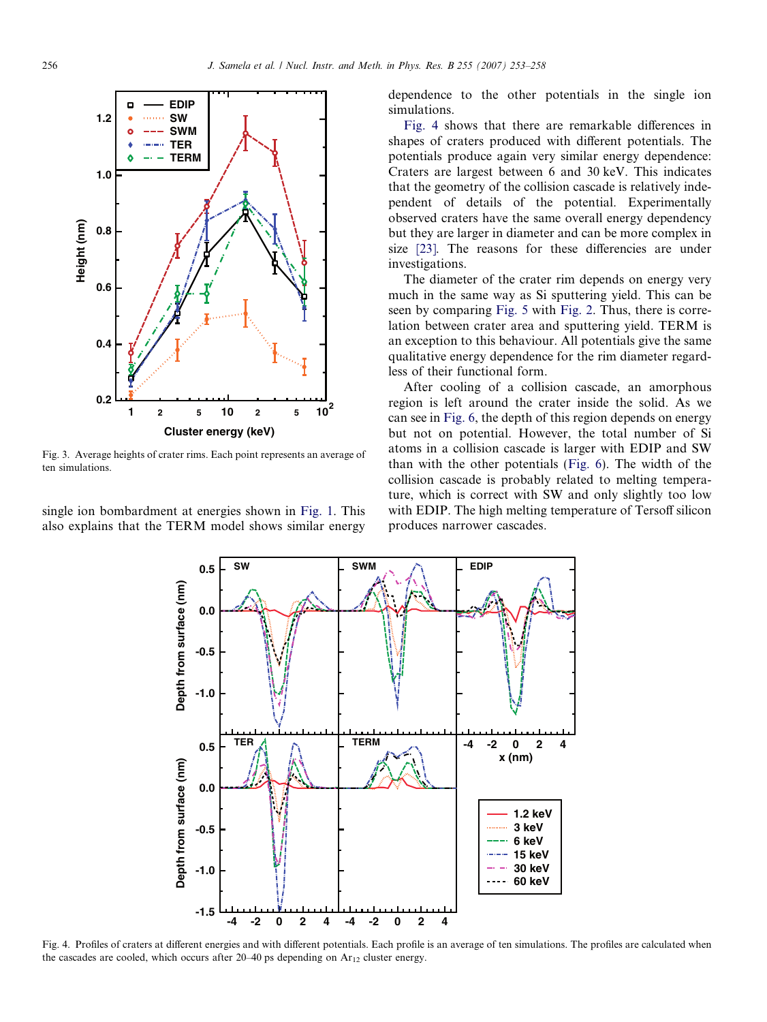<span id="page-3-0"></span>

Fig. 3. Average heights of crater rims. Each point represents an average of ten simulations.

single ion bombardment at energies shown in [Fig. 1.](#page-2-0) This also explains that the TERM model shows similar energy dependence to the other potentials in the single ion simulations.

Fig. 4 shows that there are remarkable differences in shapes of craters produced with different potentials. The potentials produce again very similar energy dependence: Craters are largest between 6 and 30 keV. This indicates that the geometry of the collision cascade is relatively independent of details of the potential. Experimentally observed craters have the same overall energy dependency but they are larger in diameter and can be more complex in size [\[23\].](#page-5-0) The reasons for these differencies are under investigations.

The diameter of the crater rim depends on energy very much in the same way as Si sputtering yield. This can be seen by comparing [Fig. 5](#page-4-0) with [Fig. 2](#page-2-0). Thus, there is correlation between crater area and sputtering yield. TERM is an exception to this behaviour. All potentials give the same qualitative energy dependence for the rim diameter regardless of their functional form.

After cooling of a collision cascade, an amorphous region is left around the crater inside the solid. As we can see in [Fig. 6,](#page-4-0) the depth of this region depends on energy but not on potential. However, the total number of Si atoms in a collision cascade is larger with EDIP and SW than with the other potentials [\(Fig. 6](#page-4-0)). The width of the collision cascade is probably related to melting temperature, which is correct with SW and only slightly too low with EDIP. The high melting temperature of Tersoff silicon produces narrower cascades.



Fig. 4. Profiles of craters at different energies and with different potentials. Each profile is an average of ten simulations. The profiles are calculated when the cascades are cooled, which occurs after 20–40 ps depending on  $Ar_{12}$  cluster energy.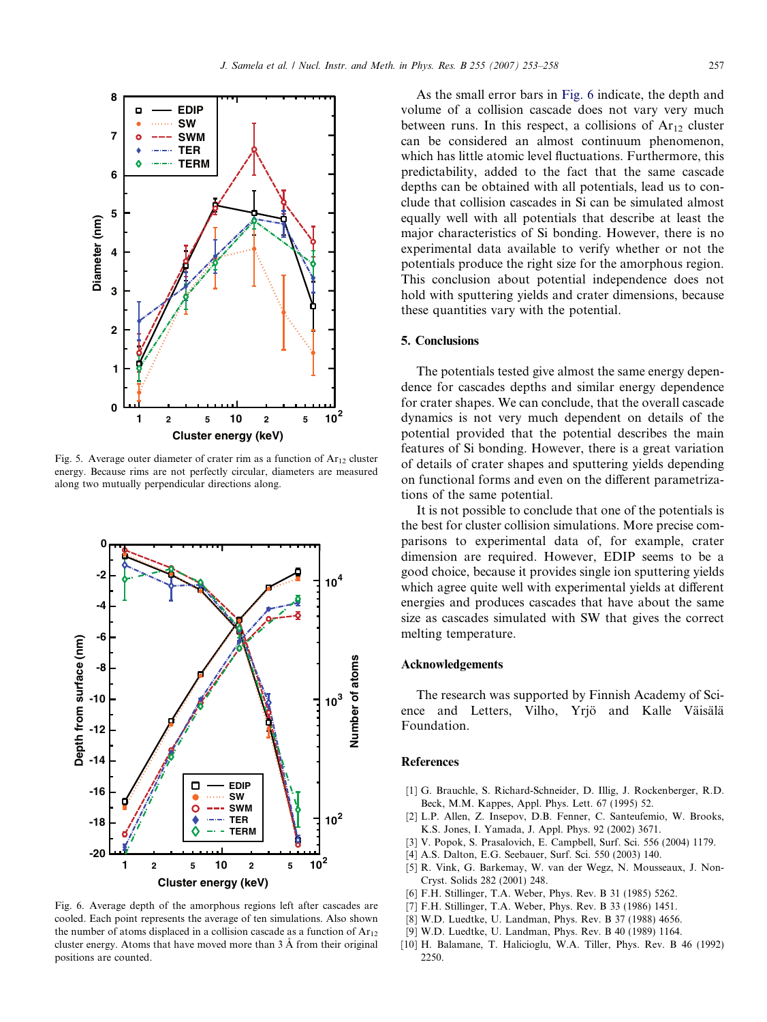<span id="page-4-0"></span>

Fig. 5. Average outer diameter of crater rim as a function of  $Ar_{12}$  cluster energy. Because rims are not perfectly circular, diameters are measured along two mutually perpendicular directions along.



Fig. 6. Average depth of the amorphous regions left after cascades are cooled. Each point represents the average of ten simulations. Also shown the number of atoms displaced in a collision cascade as a function of  $Ar_{12}$ cluster energy. Atoms that have moved more than  $3 \text{ Å}$  from their original positions are counted.

As the small error bars in Fig. 6 indicate, the depth and volume of a collision cascade does not vary very much between runs. In this respect, a collisions of  $Ar_{12}$  cluster can be considered an almost continuum phenomenon, which has little atomic level fluctuations. Furthermore, this predictability, added to the fact that the same cascade depths can be obtained with all potentials, lead us to conclude that collision cascades in Si can be simulated almost equally well with all potentials that describe at least the major characteristics of Si bonding. However, there is no experimental data available to verify whether or not the potentials produce the right size for the amorphous region. This conclusion about potential independence does not hold with sputtering yields and crater dimensions, because these quantities vary with the potential.

## 5. Conclusions

The potentials tested give almost the same energy dependence for cascades depths and similar energy dependence for crater shapes. We can conclude, that the overall cascade dynamics is not very much dependent on details of the potential provided that the potential describes the main features of Si bonding. However, there is a great variation of details of crater shapes and sputtering yields depending on functional forms and even on the different parametrizations of the same potential.

It is not possible to conclude that one of the potentials is the best for cluster collision simulations. More precise comparisons to experimental data of, for example, crater dimension are required. However, EDIP seems to be a good choice, because it provides single ion sputtering yields which agree quite well with experimental yields at different energies and produces cascades that have about the same size as cascades simulated with SW that gives the correct melting temperature.

### Acknowledgements

The research was supported by Finnish Academy of Science and Letters, Vilho, Yrjö and Kalle Väisälä Foundation.

#### References

- [1] G. Brauchle, S. Richard-Schneider, D. Illig, J. Rockenberger, R.D. Beck, M.M. Kappes, Appl. Phys. Lett. 67 (1995) 52.
- [2] L.P. Allen, Z. Insepov, D.B. Fenner, C. Santeufemio, W. Brooks, K.S. Jones, I. Yamada, J. Appl. Phys. 92 (2002) 3671.
- [3] V. Popok, S. Prasalovich, E. Campbell, Surf. Sci. 556 (2004) 1179.
- [4] A.S. Dalton, E.G. Seebauer, Surf. Sci. 550 (2003) 140.
- [5] R. Vink, G. Barkemay, W. van der Wegz, N. Mousseaux, J. Non-Cryst. Solids 282 (2001) 248.
- [6] F.H. Stillinger, T.A. Weber, Phys. Rev. B 31 (1985) 5262.
- [7] F.H. Stillinger, T.A. Weber, Phys. Rev. B 33 (1986) 1451.
- [8] W.D. Luedtke, U. Landman, Phys. Rev. B 37 (1988) 4656.
- [9] W.D. Luedtke, U. Landman, Phys. Rev. B 40 (1989) 1164.
- [10] H. Balamane, T. Halicioglu, W.A. Tiller, Phys. Rev. B 46 (1992) 2250.